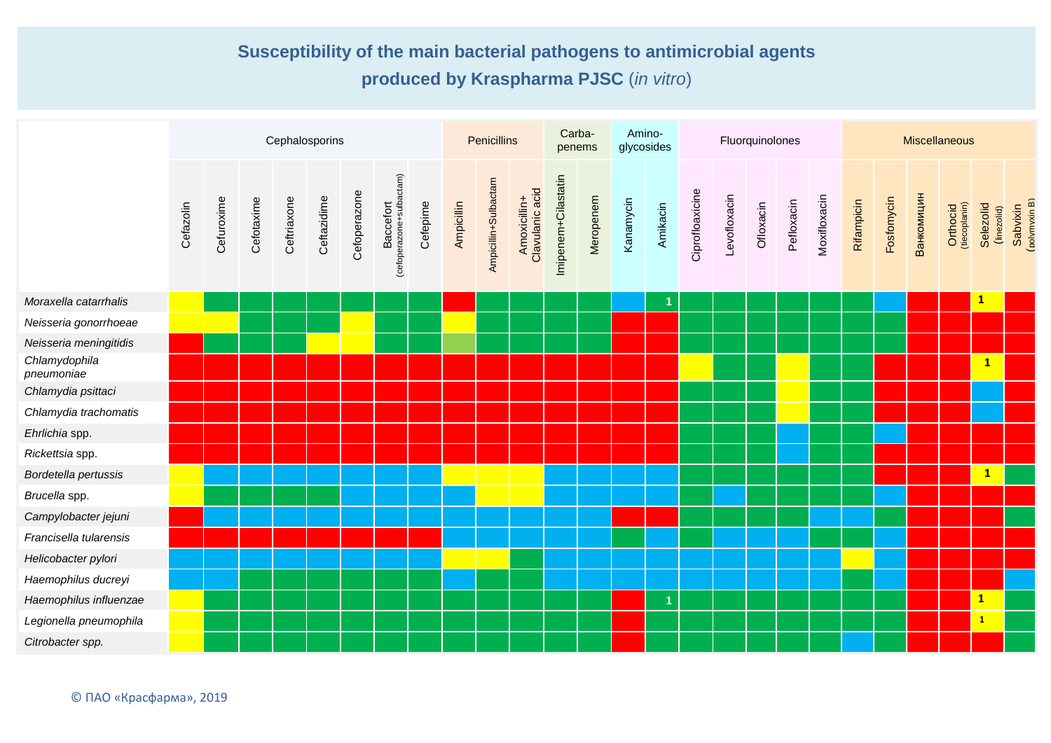# )**Susceptibility of the main bacterial pathogens to antimicrobial agents produced by Kraspharma PJSC** (*in vitro*)

|                             | Cephalosporins |            |            |             |             |              |                                       |          |            | <b>Penicillins</b>   |                                 |                     | Carba-<br>penems |           | Amino-<br>glycosides |                 |              | Fluorquinolones |            |              | Miscellaneous |            |            |                           |                          |                           |  |
|-----------------------------|----------------|------------|------------|-------------|-------------|--------------|---------------------------------------|----------|------------|----------------------|---------------------------------|---------------------|------------------|-----------|----------------------|-----------------|--------------|-----------------|------------|--------------|---------------|------------|------------|---------------------------|--------------------------|---------------------------|--|
|                             | Cefazolin      | Cefuroxime | Cefotaxime | Ceftriaxone | Ceftazidime | Cefoperazone | Baccefort<br>(cefoperazone+sulbactam) | Cetepime | Ampicillin | Ampicillin+Sulbactam | Amoxicillin+<br>Clavulanic acid | Imipenem+Cilastatin | Meropenem        | Kanamycin | Amikacin             | Ciprofloaxicine | Levofloxacin | Ofloxacin       | Pefloxacin | Moxifloxacin | Rifampicin    | Fosfomycin | Ванкомицин | Orthocid<br>(tiecoplanin) | Selezolid<br>(linezolid) | Sabvixin<br>(polymyxin B) |  |
| Moraxella catarrhalis       |                |            |            |             |             |              |                                       |          |            |                      |                                 |                     |                  |           | $\mathbf 1$          |                 |              |                 |            |              |               |            |            |                           | 1                        |                           |  |
| Neisseria gonorrhoeae       |                |            |            |             |             |              |                                       |          |            |                      |                                 |                     |                  |           |                      |                 |              |                 |            |              |               |            |            |                           |                          |                           |  |
| Neisseria meningitidis      |                |            |            |             |             |              |                                       |          |            |                      |                                 |                     |                  |           |                      |                 |              |                 |            |              |               |            |            |                           |                          |                           |  |
| Chlamydophila<br>pneumoniae |                |            |            |             |             |              |                                       |          |            |                      |                                 |                     |                  |           |                      |                 |              |                 |            |              |               |            |            |                           | $\mathbf{1}$             |                           |  |
| Chlamydia psittaci          |                |            |            |             |             |              |                                       |          |            |                      |                                 |                     |                  |           |                      |                 |              |                 |            |              |               |            |            |                           |                          |                           |  |
| Chlamydia trachomatis       |                |            |            |             |             |              |                                       |          |            |                      |                                 |                     |                  |           |                      |                 |              |                 |            |              |               |            |            |                           |                          |                           |  |
| Ehrlichia spp.              |                |            |            |             |             |              |                                       |          |            |                      |                                 |                     |                  |           |                      |                 |              |                 |            |              |               |            |            |                           |                          |                           |  |
| Rickettsia spp.             |                |            |            |             |             |              |                                       |          |            |                      |                                 |                     |                  |           |                      |                 |              |                 |            |              |               |            |            |                           |                          |                           |  |
| Bordetella pertussis        |                |            |            |             |             |              |                                       |          |            |                      |                                 |                     |                  |           |                      |                 |              |                 |            |              |               |            |            |                           | $\mathbf{1}$             |                           |  |
| Brucella spp.               |                |            |            |             |             |              |                                       |          |            |                      |                                 |                     |                  |           |                      |                 |              |                 |            |              |               |            |            |                           |                          |                           |  |
| Campylobacter jejuni        |                |            |            |             |             |              |                                       |          |            |                      |                                 |                     |                  |           |                      |                 |              |                 |            |              |               |            |            |                           |                          |                           |  |
| Francisella tularensis      |                |            |            |             |             |              |                                       |          |            |                      |                                 |                     |                  |           |                      |                 |              |                 |            |              |               |            |            |                           |                          |                           |  |
| Helicobacter pylori         |                |            |            |             |             |              |                                       |          |            |                      |                                 |                     |                  |           |                      |                 |              |                 |            |              |               |            |            |                           |                          |                           |  |
| Haemophilus ducreyi         |                |            |            |             |             |              |                                       |          |            |                      |                                 |                     |                  |           |                      |                 |              |                 |            |              |               |            |            |                           |                          |                           |  |
| Haemophilus influenzae      |                |            |            |             |             |              |                                       |          |            |                      |                                 |                     |                  |           | $\mathbf{1}$         |                 |              |                 |            |              |               |            |            |                           | $\overline{\mathbf{1}}$  |                           |  |
| Legionella pneumophila      |                |            |            |             |             |              |                                       |          |            |                      |                                 |                     |                  |           |                      |                 |              |                 |            |              |               |            |            |                           | $\mathbf{1}$             |                           |  |
| Citrobacter spp.            |                |            |            |             |             |              |                                       |          |            |                      |                                 |                     |                  |           |                      |                 |              |                 |            |              |               |            |            |                           |                          |                           |  |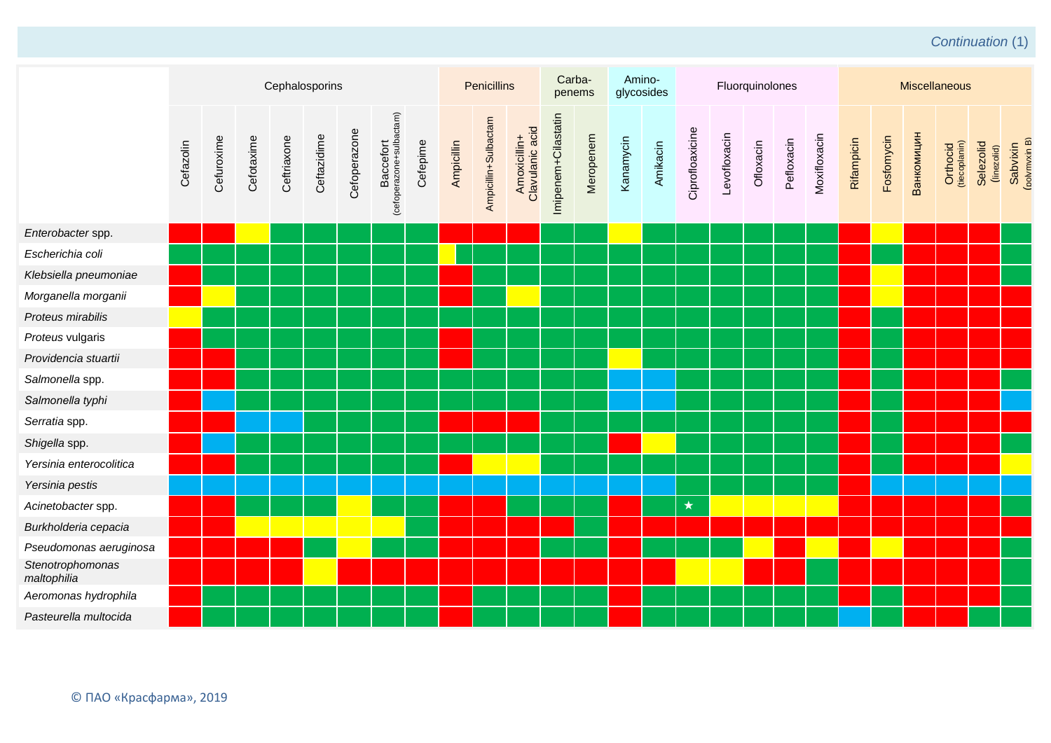### *Continuation* (1)

|                                 | Cephalosporins |            |            |             |             |              |                                       |          |            | <b>Penicillins</b>   |                                 |                     | Carba-<br>penems |           | Amino-<br>glycosides |                 |              | Fluorquinolones |            |              | <b>Miscellaneous</b> |            |            |                           |                          |                           |  |  |
|---------------------------------|----------------|------------|------------|-------------|-------------|--------------|---------------------------------------|----------|------------|----------------------|---------------------------------|---------------------|------------------|-----------|----------------------|-----------------|--------------|-----------------|------------|--------------|----------------------|------------|------------|---------------------------|--------------------------|---------------------------|--|--|
|                                 | Cefazolin      | Cefuroxime | Cefotaxime | Ceftriaxone | Ceftazidime | Cefoperazone | Baccefort<br>(cefoperazone+sulbactam) | Cefepime | Ampicillin | Ampicillin+Sulbactam | Amoxicillin+<br>Clavulanic acid | Imipenem+Cilastatin | Meropenem        | Kanamycin | Amikacin             | Ciprofloaxicine | Levofloxacin | Ofloxacin       | Pefloxacin | Moxifloxacin | Rifampicin           | Fosfomycin | Ванкомицин | Orthocid<br>(tiecoplanin) | Selezolid<br>(linezolid) | Sabvixin<br>(polymyxin B) |  |  |
| Enterobacter spp.               |                |            |            |             |             |              |                                       |          |            |                      |                                 |                     |                  |           |                      |                 |              |                 |            |              |                      |            |            |                           |                          |                           |  |  |
| Escherichia coli                |                |            |            |             |             |              |                                       |          |            |                      |                                 |                     |                  |           |                      |                 |              |                 |            |              |                      |            |            |                           |                          |                           |  |  |
| Klebsiella pneumoniae           |                |            |            |             |             |              |                                       |          |            |                      |                                 |                     |                  |           |                      |                 |              |                 |            |              |                      |            |            |                           |                          |                           |  |  |
| Morganella morganii             |                |            |            |             |             |              |                                       |          |            |                      |                                 |                     |                  |           |                      |                 |              |                 |            |              |                      |            |            |                           |                          |                           |  |  |
| Proteus mirabilis               |                |            |            |             |             |              |                                       |          |            |                      |                                 |                     |                  |           |                      |                 |              |                 |            |              |                      |            |            |                           |                          |                           |  |  |
| Proteus vulgaris                |                |            |            |             |             |              |                                       |          |            |                      |                                 |                     |                  |           |                      |                 |              |                 |            |              |                      |            |            |                           |                          |                           |  |  |
| Providencia stuartii            |                |            |            |             |             |              |                                       |          |            |                      |                                 |                     |                  |           |                      |                 |              |                 |            |              |                      |            |            |                           |                          |                           |  |  |
| Salmonella spp.                 |                |            |            |             |             |              |                                       |          |            |                      |                                 |                     |                  |           |                      |                 |              |                 |            |              |                      |            |            |                           |                          |                           |  |  |
| Salmonella typhi                |                |            |            |             |             |              |                                       |          |            |                      |                                 |                     |                  |           |                      |                 |              |                 |            |              |                      |            |            |                           |                          |                           |  |  |
| Serratia spp.                   |                |            |            |             |             |              |                                       |          |            |                      |                                 |                     |                  |           |                      |                 |              |                 |            |              |                      |            |            |                           |                          |                           |  |  |
| Shigella spp.                   |                |            |            |             |             |              |                                       |          |            |                      |                                 |                     |                  |           |                      |                 |              |                 |            |              |                      |            |            |                           |                          |                           |  |  |
| Yersinia enterocolitica         |                |            |            |             |             |              |                                       |          |            |                      |                                 |                     |                  |           |                      |                 |              |                 |            |              |                      |            |            |                           |                          |                           |  |  |
| Yersinia pestis                 |                |            |            |             |             |              |                                       |          |            |                      |                                 |                     |                  |           |                      |                 |              |                 |            |              |                      |            |            |                           |                          |                           |  |  |
| Acinetobacter spp.              |                |            |            |             |             |              |                                       |          |            |                      |                                 |                     |                  |           |                      | $\star$         |              |                 |            |              |                      |            |            |                           |                          |                           |  |  |
| Burkholderia cepacia            |                |            |            |             |             |              |                                       |          |            |                      |                                 |                     |                  |           |                      |                 |              |                 |            |              |                      |            |            |                           |                          |                           |  |  |
| Pseudomonas aeruginosa          |                |            |            |             |             |              |                                       |          |            |                      |                                 |                     |                  |           |                      |                 |              |                 |            |              |                      |            |            |                           |                          |                           |  |  |
| Stenotrophomonas<br>maltophilia |                |            |            |             |             |              |                                       |          |            |                      |                                 |                     |                  |           |                      |                 |              |                 |            |              |                      |            |            |                           |                          |                           |  |  |
| Aeromonas hydrophila            |                |            |            |             |             |              |                                       |          |            |                      |                                 |                     |                  |           |                      |                 |              |                 |            |              |                      |            |            |                           |                          |                           |  |  |
| Pasteurella multocida           |                |            |            |             |             |              |                                       |          |            |                      |                                 |                     |                  |           |                      |                 |              |                 |            |              |                      |            |            |                           |                          |                           |  |  |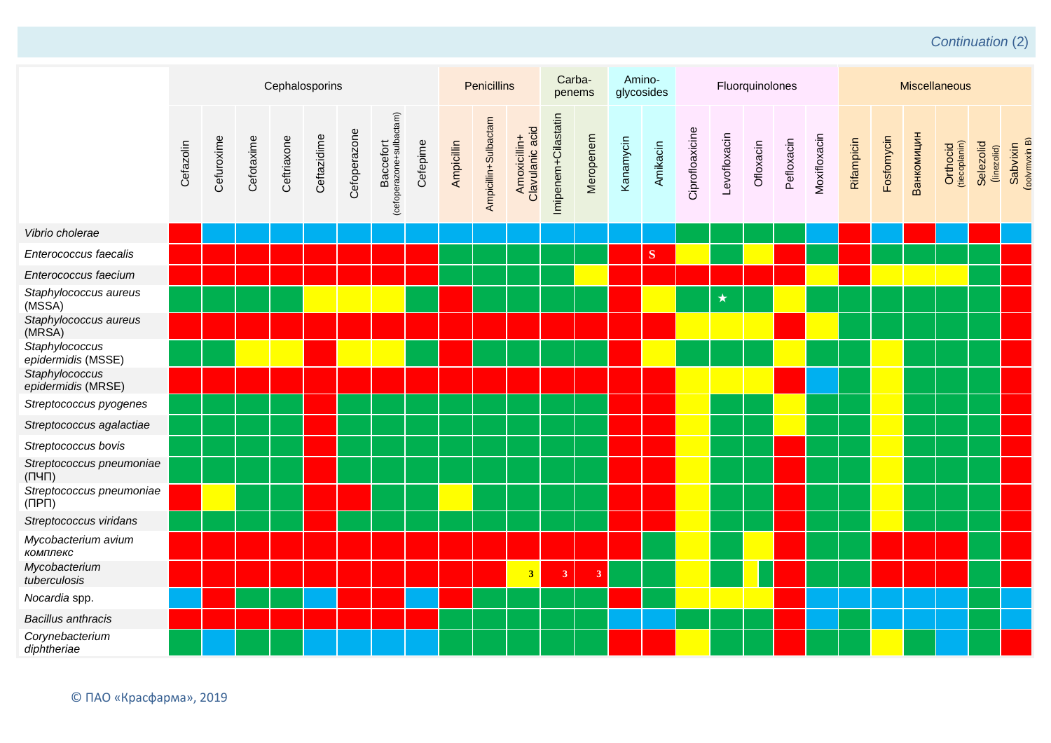## *Continuation* (2)

|                                                 | Cephalosporins |            |            |             |             |              |                                       |          |            | <b>Penicillins</b>   |                                 |                     | Carba-<br>penems |           | Amino-<br>glycosides |                 |              | Fluorquinolones |            |              | <b>Miscellaneous</b> |            |            |                           |                                 |                           |  |  |
|-------------------------------------------------|----------------|------------|------------|-------------|-------------|--------------|---------------------------------------|----------|------------|----------------------|---------------------------------|---------------------|------------------|-----------|----------------------|-----------------|--------------|-----------------|------------|--------------|----------------------|------------|------------|---------------------------|---------------------------------|---------------------------|--|--|
|                                                 | Cefazolin      | Cefuroxime | Cefotaxime | Ceftriaxone | Ceftazidime | Cefoperazone | Baccefort<br>(cefoperazone+sulbactam) | Cefepime | Ampicillin | Ampicillin+Sulbactam | Amoxicillin+<br>Clavulanic acid | Imipenem+Cilastatin | Meropenem        | Kanamycin | Amikacin             | Ciprofloaxicine | Levofloxacin | Ofloxacin       | Pefloxacin | Moxifloxacin | Rifampicin           | Fosfomycin | Ванкомицин | Orthocid<br>(tiecoplanin) | <b>Selezolid</b><br>(linezolid) | Sabvixin<br>(polymyxin B) |  |  |
| Vibrio cholerae                                 |                |            |            |             |             |              |                                       |          |            |                      |                                 |                     |                  |           |                      |                 |              |                 |            |              |                      |            |            |                           |                                 |                           |  |  |
| Enterococcus faecalis                           |                |            |            |             |             |              |                                       |          |            |                      |                                 |                     |                  |           | S                    |                 |              |                 |            |              |                      |            |            |                           |                                 |                           |  |  |
| Enterococcus faecium                            |                |            |            |             |             |              |                                       |          |            |                      |                                 |                     |                  |           |                      |                 |              |                 |            |              |                      |            |            |                           |                                 |                           |  |  |
| Staphylococcus aureus<br>(MSSA)                 |                |            |            |             |             |              |                                       |          |            |                      |                                 |                     |                  |           |                      |                 | $\star$      |                 |            |              |                      |            |            |                           |                                 |                           |  |  |
| Staphylococcus aureus<br>(MRSA)                 |                |            |            |             |             |              |                                       |          |            |                      |                                 |                     |                  |           |                      |                 |              |                 |            |              |                      |            |            |                           |                                 |                           |  |  |
| Staphylococcus<br>epidermidis (MSSE)            |                |            |            |             |             |              |                                       |          |            |                      |                                 |                     |                  |           |                      |                 |              |                 |            |              |                      |            |            |                           |                                 |                           |  |  |
| Staphylococcus<br>epidermidis (MRSE)            |                |            |            |             |             |              |                                       |          |            |                      |                                 |                     |                  |           |                      |                 |              |                 |            |              |                      |            |            |                           |                                 |                           |  |  |
| Streptococcus pyogenes                          |                |            |            |             |             |              |                                       |          |            |                      |                                 |                     |                  |           |                      |                 |              |                 |            |              |                      |            |            |                           |                                 |                           |  |  |
| Streptococcus agalactiae                        |                |            |            |             |             |              |                                       |          |            |                      |                                 |                     |                  |           |                      |                 |              |                 |            |              |                      |            |            |                           |                                 |                           |  |  |
| Streptococcus bovis                             |                |            |            |             |             |              |                                       |          |            |                      |                                 |                     |                  |           |                      |                 |              |                 |            |              |                      |            |            |                           |                                 |                           |  |  |
| Streptococcus pneumoniae<br>(ПЧП)               |                |            |            |             |             |              |                                       |          |            |                      |                                 |                     |                  |           |                      |                 |              |                 |            |              |                      |            |            |                           |                                 |                           |  |  |
| Streptococcus pneumoniae<br>(IP <sub>II</sub> ) |                |            |            |             |             |              |                                       |          |            |                      |                                 |                     |                  |           |                      |                 |              |                 |            |              |                      |            |            |                           |                                 |                           |  |  |
| Streptococcus viridans                          |                |            |            |             |             |              |                                       |          |            |                      |                                 |                     |                  |           |                      |                 |              |                 |            |              |                      |            |            |                           |                                 |                           |  |  |
| Mycobacterium avium<br>комплекс                 |                |            |            |             |             |              |                                       |          |            |                      |                                 |                     |                  |           |                      |                 |              |                 |            |              |                      |            |            |                           |                                 |                           |  |  |
| Mycobacterium<br>tuberculosis                   |                |            |            |             |             |              |                                       |          |            |                      | $\overline{\mathbf{3}}$         | 3 <sup>7</sup>      | $\mathbf{3}$     |           |                      |                 |              |                 |            |              |                      |            |            |                           |                                 |                           |  |  |
| Nocardia spp.                                   |                |            |            |             |             |              |                                       |          |            |                      |                                 |                     |                  |           |                      |                 |              |                 |            |              |                      |            |            |                           |                                 |                           |  |  |
| Bacillus anthracis                              |                |            |            |             |             |              |                                       |          |            |                      |                                 |                     |                  |           |                      |                 |              |                 |            |              |                      |            |            |                           |                                 |                           |  |  |
| Corynebacterium<br>diphtheriae                  |                |            |            |             |             |              |                                       |          |            |                      |                                 |                     |                  |           |                      |                 |              |                 |            |              |                      |            |            |                           |                                 |                           |  |  |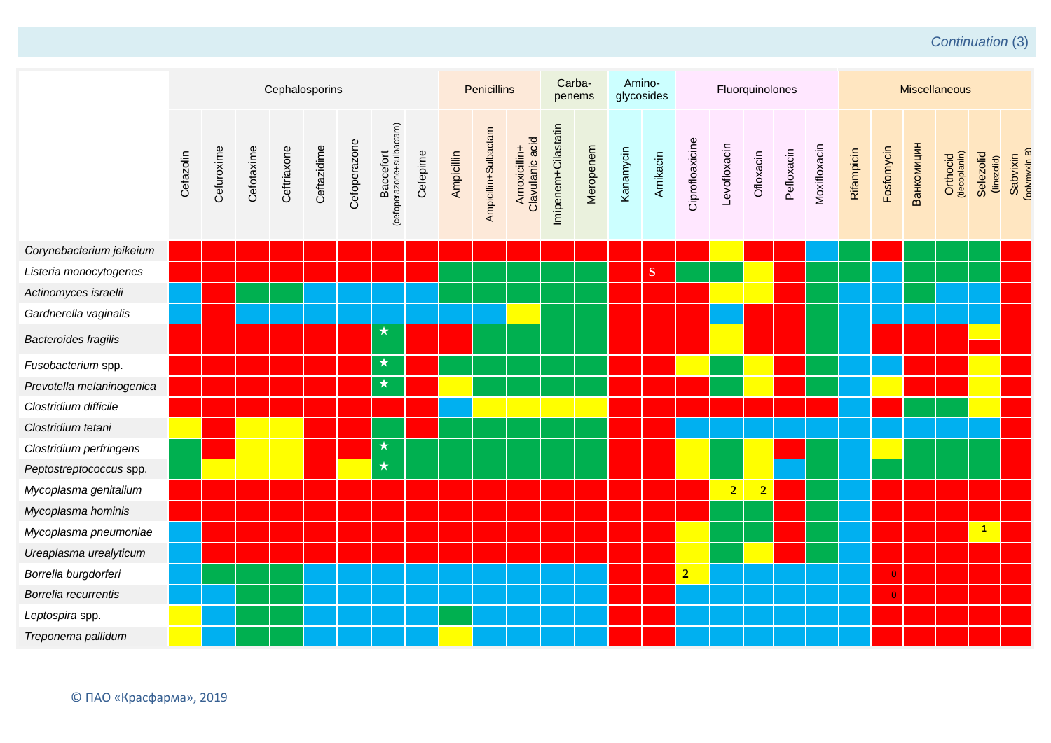## *Continuation* (3)

|                             | Cephalosporins |            |            |             |             |              |                                       |          |            | Penicillins          |                                 |                     | Carba-<br>penems |           | Amino-<br>glycosides    |                 |                | Fluorquinolones |            |              | Miscellaneous |                |            |                           |                          |                           |  |
|-----------------------------|----------------|------------|------------|-------------|-------------|--------------|---------------------------------------|----------|------------|----------------------|---------------------------------|---------------------|------------------|-----------|-------------------------|-----------------|----------------|-----------------|------------|--------------|---------------|----------------|------------|---------------------------|--------------------------|---------------------------|--|
|                             | Cefazolin      | Cefuroxime | Cefotaxime | Ceftriaxone | Ceftazidime | Cefoperazone | Baccefort<br>(cefoperazone+sulbactam) | Cefepime | Ampicillin | Ampicillin+Sulbactam | Amoxicillin+<br>Clavulanic acid | Imipenem+Cilastatin | Meropenem        | Kanamycin | Amikacin                | Ciprofloaxicine | Levofloxacin   | Ofloxacin       | Pefloxacin | Moxifloxacin | Rifampicin    | Fosfomycin     | Ванкомицин | Orthocid<br>(tiecoplanin) | Selezolid<br>(linezolid) | Sabvixin<br>(polymyxin B) |  |
| Corynebacterium jeikeium    |                |            |            |             |             |              |                                       |          |            |                      |                                 |                     |                  |           |                         |                 |                |                 |            |              |               |                |            |                           |                          |                           |  |
| Listeria monocytogenes      |                |            |            |             |             |              |                                       |          |            |                      |                                 |                     |                  |           | $\overline{\mathbf{S}}$ |                 |                |                 |            |              |               |                |            |                           |                          |                           |  |
| Actinomyces israelii        |                |            |            |             |             |              |                                       |          |            |                      |                                 |                     |                  |           |                         |                 |                |                 |            |              |               |                |            |                           |                          |                           |  |
| Gardnerella vaginalis       |                |            |            |             |             |              |                                       |          |            |                      |                                 |                     |                  |           |                         |                 |                |                 |            |              |               |                |            |                           |                          |                           |  |
| <b>Bacteroides fragilis</b> |                |            |            |             |             |              | $\bigstar$                            |          |            |                      |                                 |                     |                  |           |                         |                 |                |                 |            |              |               |                |            |                           |                          |                           |  |
| Fusobacterium spp.          |                |            |            |             |             |              | $\star$                               |          |            |                      |                                 |                     |                  |           |                         |                 |                |                 |            |              |               |                |            |                           |                          |                           |  |
| Prevotella melaninogenica   |                |            |            |             |             |              | $\star$                               |          |            |                      |                                 |                     |                  |           |                         |                 |                |                 |            |              |               |                |            |                           |                          |                           |  |
| Clostridium difficile       |                |            |            |             |             |              |                                       |          |            |                      |                                 |                     |                  |           |                         |                 |                |                 |            |              |               |                |            |                           |                          |                           |  |
| Clostridium tetani          |                |            |            |             |             |              |                                       |          |            |                      |                                 |                     |                  |           |                         |                 |                |                 |            |              |               |                |            |                           |                          |                           |  |
| Clostridium perfringens     |                |            |            |             |             |              | $\star$                               |          |            |                      |                                 |                     |                  |           |                         |                 |                |                 |            |              |               |                |            |                           |                          |                           |  |
| Peptostreptococcus spp.     |                |            |            |             |             |              | ★                                     |          |            |                      |                                 |                     |                  |           |                         |                 |                |                 |            |              |               |                |            |                           |                          |                           |  |
| Mycoplasma genitalium       |                |            |            |             |             |              |                                       |          |            |                      |                                 |                     |                  |           |                         |                 | $\overline{2}$ | $\overline{2}$  |            |              |               |                |            |                           |                          |                           |  |
| Mycoplasma hominis          |                |            |            |             |             |              |                                       |          |            |                      |                                 |                     |                  |           |                         |                 |                |                 |            |              |               |                |            |                           |                          |                           |  |
| Mycoplasma pneumoniae       |                |            |            |             |             |              |                                       |          |            |                      |                                 |                     |                  |           |                         |                 |                |                 |            |              |               |                |            |                           | $\mathbf{1}$             |                           |  |
| Ureaplasma urealyticum      |                |            |            |             |             |              |                                       |          |            |                      |                                 |                     |                  |           |                         |                 |                |                 |            |              |               |                |            |                           |                          |                           |  |
| Borrelia burgdorferi        |                |            |            |             |             |              |                                       |          |            |                      |                                 |                     |                  |           |                         | $\overline{2}$  |                |                 |            |              |               | $\overline{0}$ |            |                           |                          |                           |  |
| Borrelia recurrentis        |                |            |            |             |             |              |                                       |          |            |                      |                                 |                     |                  |           |                         |                 |                |                 |            |              |               | $\overline{0}$ |            |                           |                          |                           |  |
| Leptospira spp.             |                |            |            |             |             |              |                                       |          |            |                      |                                 |                     |                  |           |                         |                 |                |                 |            |              |               |                |            |                           |                          |                           |  |
| Treponema pallidum          |                |            |            |             |             |              |                                       |          |            |                      |                                 |                     |                  |           |                         |                 |                |                 |            |              |               |                |            |                           |                          |                           |  |